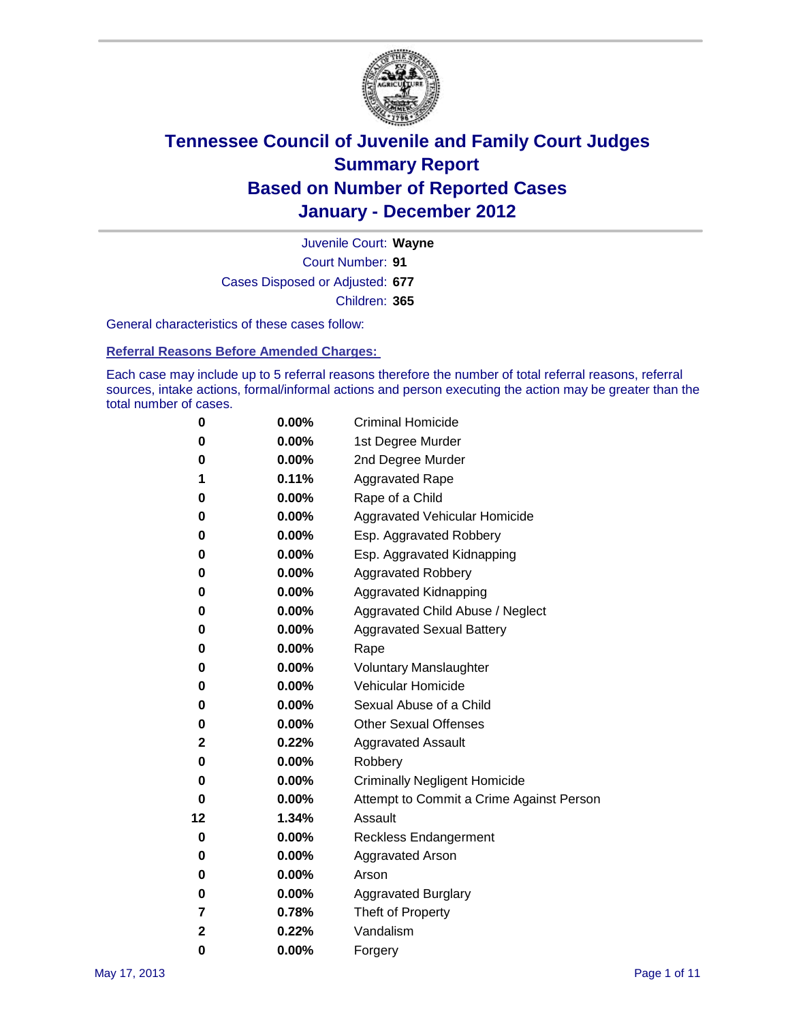

Court Number: **91** Juvenile Court: **Wayne** Cases Disposed or Adjusted: **677** Children: **365**

General characteristics of these cases follow:

**Referral Reasons Before Amended Charges:** 

Each case may include up to 5 referral reasons therefore the number of total referral reasons, referral sources, intake actions, formal/informal actions and person executing the action may be greater than the total number of cases.

| 0  | 0.00%    | <b>Criminal Homicide</b>                 |
|----|----------|------------------------------------------|
| 0  | 0.00%    | 1st Degree Murder                        |
| 0  | 0.00%    | 2nd Degree Murder                        |
| 1  | 0.11%    | <b>Aggravated Rape</b>                   |
| 0  | 0.00%    | Rape of a Child                          |
| 0  | 0.00%    | Aggravated Vehicular Homicide            |
| 0  | 0.00%    | Esp. Aggravated Robbery                  |
| 0  | 0.00%    | Esp. Aggravated Kidnapping               |
| 0  | 0.00%    | <b>Aggravated Robbery</b>                |
| 0  | 0.00%    | Aggravated Kidnapping                    |
| 0  | 0.00%    | Aggravated Child Abuse / Neglect         |
| 0  | $0.00\%$ | <b>Aggravated Sexual Battery</b>         |
| 0  | 0.00%    | Rape                                     |
| 0  | $0.00\%$ | <b>Voluntary Manslaughter</b>            |
| 0  | 0.00%    | Vehicular Homicide                       |
| 0  | 0.00%    | Sexual Abuse of a Child                  |
| 0  | 0.00%    | <b>Other Sexual Offenses</b>             |
| 2  | 0.22%    | <b>Aggravated Assault</b>                |
| 0  | $0.00\%$ | Robbery                                  |
| 0  | 0.00%    | <b>Criminally Negligent Homicide</b>     |
| 0  | 0.00%    | Attempt to Commit a Crime Against Person |
| 12 | 1.34%    | Assault                                  |
| 0  | 0.00%    | <b>Reckless Endangerment</b>             |
| 0  | 0.00%    | <b>Aggravated Arson</b>                  |
| 0  | 0.00%    | Arson                                    |
| 0  | 0.00%    | <b>Aggravated Burglary</b>               |
| 7  | 0.78%    | Theft of Property                        |
| 2  | 0.22%    | Vandalism                                |
| 0  | 0.00%    | Forgery                                  |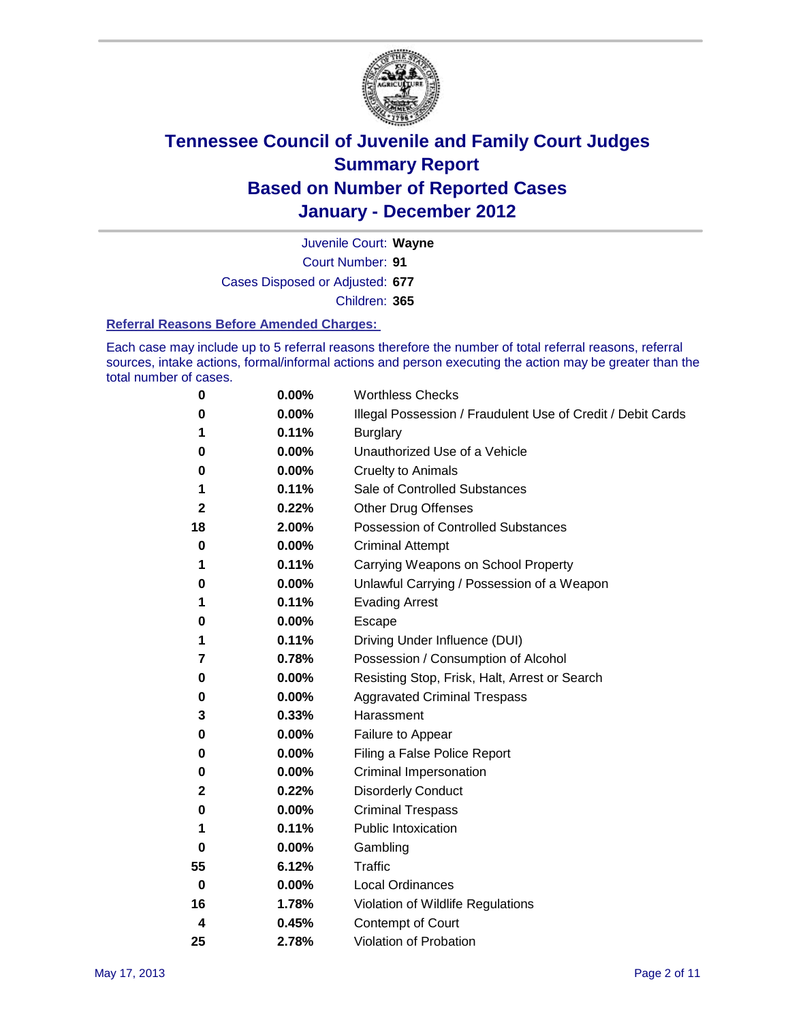

Court Number: **91** Juvenile Court: **Wayne** Cases Disposed or Adjusted: **677** Children: **365**

### **Referral Reasons Before Amended Charges:**

Each case may include up to 5 referral reasons therefore the number of total referral reasons, referral sources, intake actions, formal/informal actions and person executing the action may be greater than the total number of cases.

| 0  | 0.00% | <b>Worthless Checks</b>                                     |
|----|-------|-------------------------------------------------------------|
| 0  | 0.00% | Illegal Possession / Fraudulent Use of Credit / Debit Cards |
| 1  | 0.11% | <b>Burglary</b>                                             |
| 0  | 0.00% | Unauthorized Use of a Vehicle                               |
| 0  | 0.00% | <b>Cruelty to Animals</b>                                   |
| 1  | 0.11% | Sale of Controlled Substances                               |
| 2  | 0.22% | <b>Other Drug Offenses</b>                                  |
| 18 | 2.00% | Possession of Controlled Substances                         |
| 0  | 0.00% | <b>Criminal Attempt</b>                                     |
| 1  | 0.11% | Carrying Weapons on School Property                         |
| 0  | 0.00% | Unlawful Carrying / Possession of a Weapon                  |
| 1  | 0.11% | <b>Evading Arrest</b>                                       |
| 0  | 0.00% | Escape                                                      |
| 1  | 0.11% | Driving Under Influence (DUI)                               |
| 7  | 0.78% | Possession / Consumption of Alcohol                         |
| 0  | 0.00% | Resisting Stop, Frisk, Halt, Arrest or Search               |
| 0  | 0.00% | <b>Aggravated Criminal Trespass</b>                         |
| 3  | 0.33% | Harassment                                                  |
| 0  | 0.00% | Failure to Appear                                           |
| 0  | 0.00% | Filing a False Police Report                                |
| 0  | 0.00% | Criminal Impersonation                                      |
| 2  | 0.22% | <b>Disorderly Conduct</b>                                   |
| 0  | 0.00% | <b>Criminal Trespass</b>                                    |
| 1  | 0.11% | <b>Public Intoxication</b>                                  |
| 0  | 0.00% | Gambling                                                    |
| 55 | 6.12% | Traffic                                                     |
| 0  | 0.00% | <b>Local Ordinances</b>                                     |
| 16 | 1.78% | Violation of Wildlife Regulations                           |
| 4  | 0.45% | Contempt of Court                                           |
| 25 | 2.78% | Violation of Probation                                      |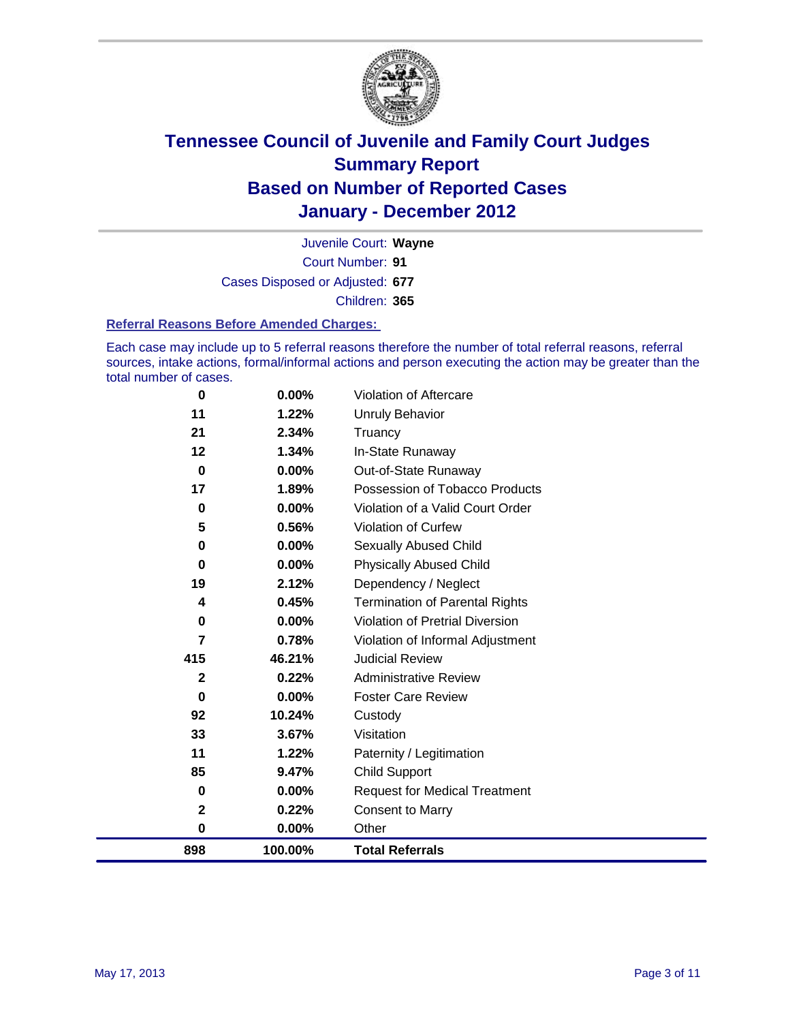

Court Number: **91** Juvenile Court: **Wayne** Cases Disposed or Adjusted: **677** Children: **365**

### **Referral Reasons Before Amended Charges:**

Each case may include up to 5 referral reasons therefore the number of total referral reasons, referral sources, intake actions, formal/informal actions and person executing the action may be greater than the total number of cases.

| 0            | 0.00%   | Violation of Aftercare                 |
|--------------|---------|----------------------------------------|
| 11           | 1.22%   | Unruly Behavior                        |
| 21           | 2.34%   | Truancy                                |
| 12           | 1.34%   | In-State Runaway                       |
| $\mathbf 0$  | 0.00%   | Out-of-State Runaway                   |
| 17           | 1.89%   | Possession of Tobacco Products         |
| 0            | 0.00%   | Violation of a Valid Court Order       |
| 5            | 0.56%   | Violation of Curfew                    |
| 0            | 0.00%   | <b>Sexually Abused Child</b>           |
| 0            | 0.00%   | <b>Physically Abused Child</b>         |
| 19           | 2.12%   | Dependency / Neglect                   |
| 4            | 0.45%   | <b>Termination of Parental Rights</b>  |
| 0            | 0.00%   | <b>Violation of Pretrial Diversion</b> |
| 7            | 0.78%   | Violation of Informal Adjustment       |
| 415          | 46.21%  | <b>Judicial Review</b>                 |
| $\mathbf{2}$ | 0.22%   | <b>Administrative Review</b>           |
| 0            | 0.00%   | <b>Foster Care Review</b>              |
| 92           | 10.24%  | Custody                                |
| 33           | 3.67%   | Visitation                             |
| 11           | 1.22%   | Paternity / Legitimation               |
| 85           | 9.47%   | <b>Child Support</b>                   |
| 0            | 0.00%   | <b>Request for Medical Treatment</b>   |
| 2            | 0.22%   | <b>Consent to Marry</b>                |
| 0            | 0.00%   | Other                                  |
| 898          | 100.00% | <b>Total Referrals</b>                 |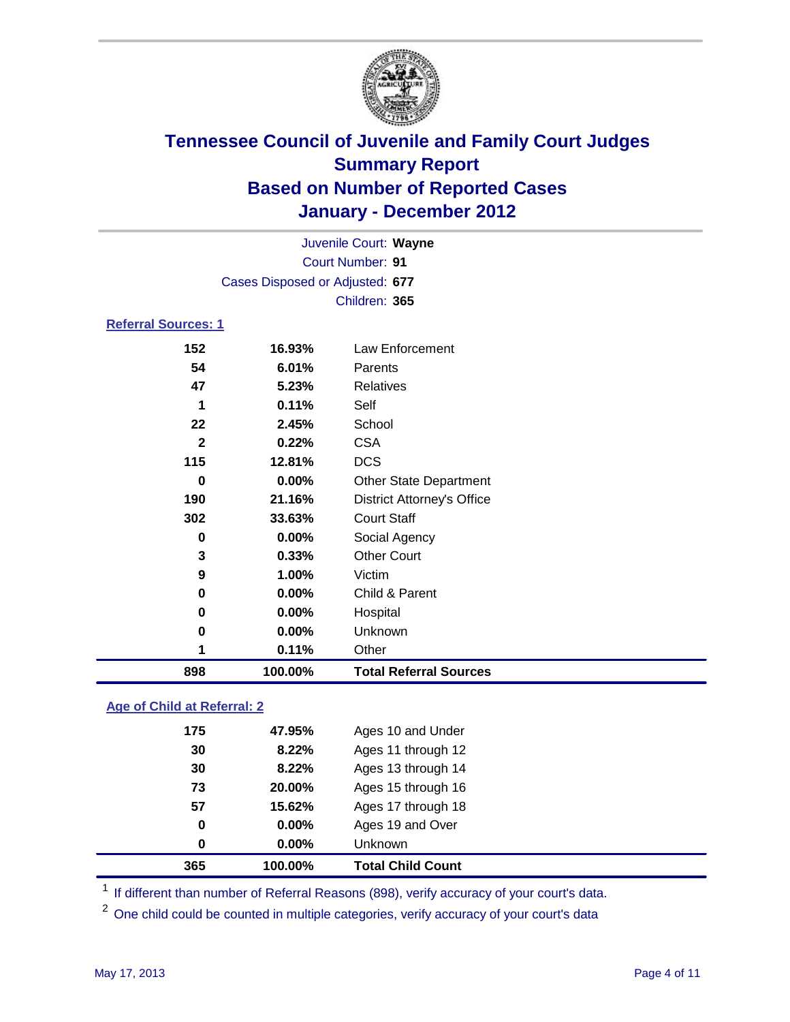

|                            | Juvenile Court: Wayne           |                                   |  |  |  |
|----------------------------|---------------------------------|-----------------------------------|--|--|--|
| <b>Court Number: 91</b>    |                                 |                                   |  |  |  |
|                            | Cases Disposed or Adjusted: 677 |                                   |  |  |  |
|                            | Children: 365                   |                                   |  |  |  |
| <b>Referral Sources: 1</b> |                                 |                                   |  |  |  |
| 152                        | 16.93%                          | Law Enforcement                   |  |  |  |
| 54                         | 6.01%                           | Parents                           |  |  |  |
| 47                         | 5.23%                           | Relatives                         |  |  |  |
| 1                          | 0.11%                           | Self                              |  |  |  |
| 22                         | 2.45%                           | School                            |  |  |  |
| $\mathbf{2}$               | 0.22%                           | <b>CSA</b>                        |  |  |  |
| 115                        | 12.81%                          | <b>DCS</b>                        |  |  |  |
| $\bf{0}$                   | 0.00%                           | <b>Other State Department</b>     |  |  |  |
| 190                        | 21.16%                          | <b>District Attorney's Office</b> |  |  |  |
| 302                        | 33.63%                          | <b>Court Staff</b>                |  |  |  |
| $\mathbf 0$                | 0.00%                           | Social Agency                     |  |  |  |
| 3                          | 0.33%                           | <b>Other Court</b>                |  |  |  |
| 9                          | 1.00%                           | Victim                            |  |  |  |
| 0                          | 0.00%                           | Child & Parent                    |  |  |  |
| 0                          | 0.00%                           | Hospital                          |  |  |  |
| 0                          | 0.00%                           | Unknown                           |  |  |  |
| 1                          | 0.11%                           | Other                             |  |  |  |
| 898                        | 100.00%                         | <b>Total Referral Sources</b>     |  |  |  |

### **Age of Child at Referral: 2**

| 365 | 100.00% | <b>Total Child Count</b> |
|-----|---------|--------------------------|
| 0   | 0.00%   | Unknown                  |
| 0   | 0.00%   | Ages 19 and Over         |
| 57  | 15.62%  | Ages 17 through 18       |
| 73  | 20.00%  | Ages 15 through 16       |
| 30  | 8.22%   | Ages 13 through 14       |
| 30  | 8.22%   | Ages 11 through 12       |
| 175 | 47.95%  | Ages 10 and Under        |
|     |         |                          |

<sup>1</sup> If different than number of Referral Reasons (898), verify accuracy of your court's data.

<sup>2</sup> One child could be counted in multiple categories, verify accuracy of your court's data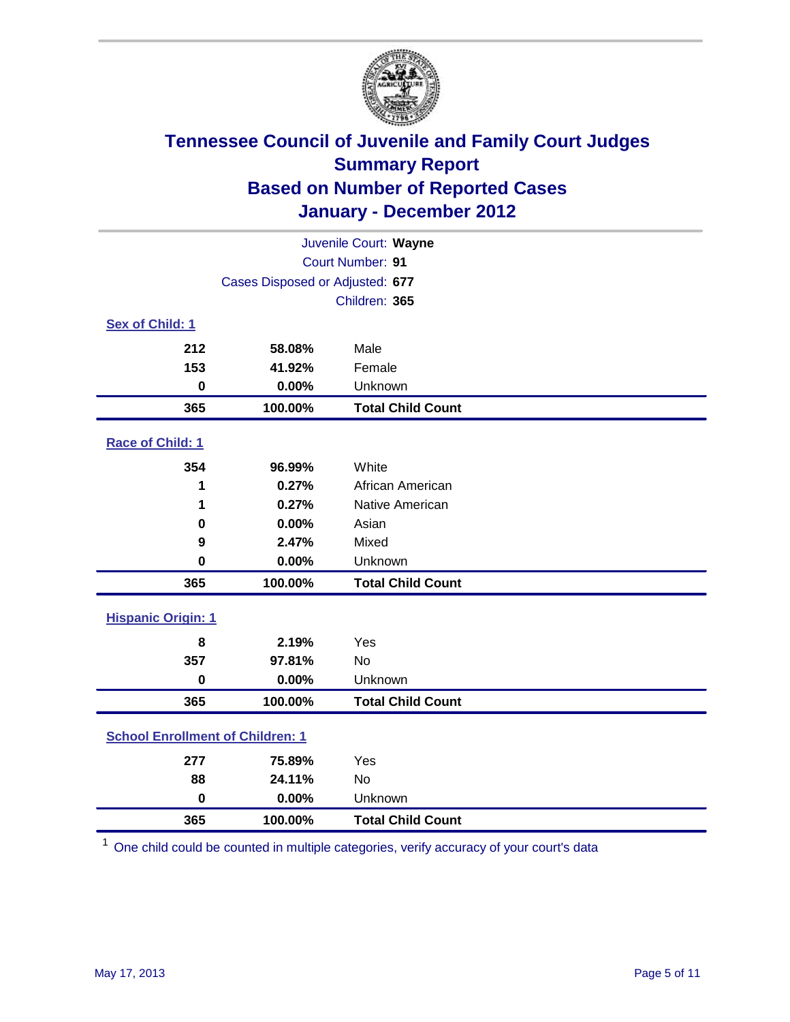

| Juvenile Court: Wayne                   |                                 |                          |  |  |  |
|-----------------------------------------|---------------------------------|--------------------------|--|--|--|
|                                         | <b>Court Number: 91</b>         |                          |  |  |  |
|                                         | Cases Disposed or Adjusted: 677 |                          |  |  |  |
|                                         |                                 | Children: 365            |  |  |  |
| Sex of Child: 1                         |                                 |                          |  |  |  |
| 212                                     | 58.08%                          | Male                     |  |  |  |
| 153                                     | 41.92%                          | Female                   |  |  |  |
| $\bf{0}$                                | 0.00%                           | Unknown                  |  |  |  |
| 365                                     | 100.00%                         | <b>Total Child Count</b> |  |  |  |
| Race of Child: 1                        |                                 |                          |  |  |  |
| 354                                     | 96.99%                          | White                    |  |  |  |
| 1                                       | 0.27%                           | African American         |  |  |  |
| 1                                       | 0.27%                           | Native American          |  |  |  |
| 0                                       | 0.00%                           | Asian                    |  |  |  |
| 9                                       | 2.47%                           | Mixed                    |  |  |  |
| $\bf{0}$                                | 0.00%                           | Unknown                  |  |  |  |
| 365                                     | 100.00%                         | <b>Total Child Count</b> |  |  |  |
| <b>Hispanic Origin: 1</b>               |                                 |                          |  |  |  |
| 8                                       | 2.19%                           | Yes                      |  |  |  |
| 357                                     | 97.81%                          | <b>No</b>                |  |  |  |
| $\mathbf 0$                             | 0.00%                           | Unknown                  |  |  |  |
| 365                                     | 100.00%                         | <b>Total Child Count</b> |  |  |  |
| <b>School Enrollment of Children: 1</b> |                                 |                          |  |  |  |
| 277                                     | 75.89%                          | Yes                      |  |  |  |
| 88                                      | 24.11%                          | No                       |  |  |  |
| $\mathbf 0$                             | 0.00%                           | Unknown                  |  |  |  |
| 365                                     | 100.00%                         | <b>Total Child Count</b> |  |  |  |

One child could be counted in multiple categories, verify accuracy of your court's data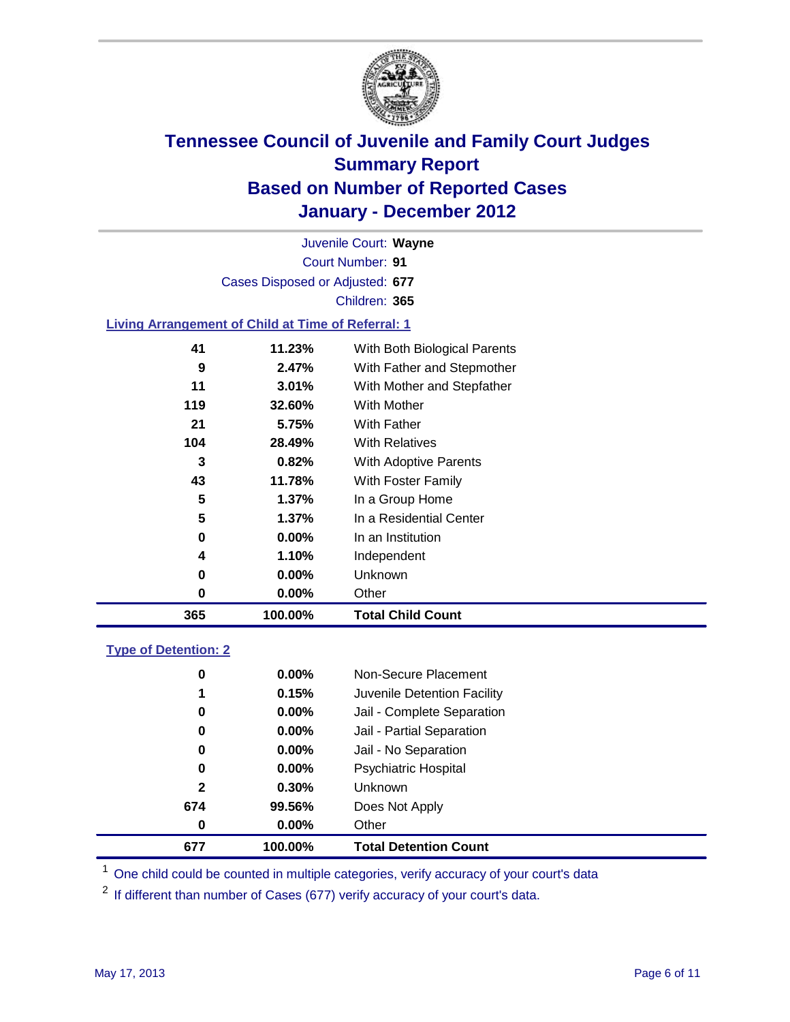

Court Number: **91** Juvenile Court: **Wayne** Cases Disposed or Adjusted: **677** Children: **365**

### **Living Arrangement of Child at Time of Referral: 1**

| 365 | 100.00%  | <b>Total Child Count</b>     |
|-----|----------|------------------------------|
| 0   | 0.00%    | Other                        |
| 0   | 0.00%    | Unknown                      |
| 4   | 1.10%    | Independent                  |
| 0   | $0.00\%$ | In an Institution            |
| 5   | 1.37%    | In a Residential Center      |
| 5   | $1.37\%$ | In a Group Home              |
| 43  | 11.78%   | With Foster Family           |
| 3   | 0.82%    | With Adoptive Parents        |
| 104 | 28.49%   | <b>With Relatives</b>        |
| 21  | 5.75%    | <b>With Father</b>           |
| 119 | 32.60%   | With Mother                  |
| 11  | 3.01%    | With Mother and Stepfather   |
| 9   | 2.47%    | With Father and Stepmother   |
| 41  | 11.23%   | With Both Biological Parents |
|     |          |                              |

### **Type of Detention: 2**

| 677          | 100.00%  | <b>Total Detention Count</b> |  |
|--------------|----------|------------------------------|--|
| 0            | 0.00%    | Other                        |  |
| 674          | 99.56%   | Does Not Apply               |  |
| $\mathbf{2}$ | $0.30\%$ | Unknown                      |  |
| 0            | $0.00\%$ | Psychiatric Hospital         |  |
| 0            | 0.00%    | Jail - No Separation         |  |
| 0            | $0.00\%$ | Jail - Partial Separation    |  |
| 0            | 0.00%    | Jail - Complete Separation   |  |
| 1            | 0.15%    | Juvenile Detention Facility  |  |
| 0            | $0.00\%$ | Non-Secure Placement         |  |
|              |          |                              |  |

<sup>1</sup> One child could be counted in multiple categories, verify accuracy of your court's data

<sup>2</sup> If different than number of Cases (677) verify accuracy of your court's data.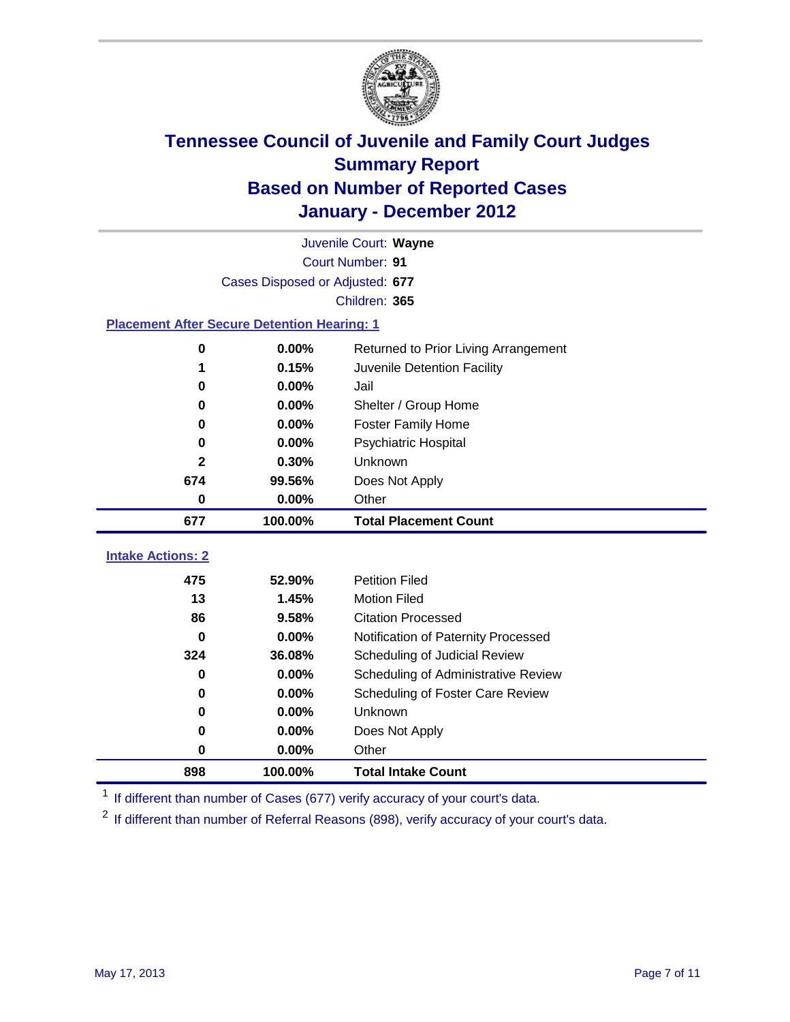

|                                                    | Juvenile Court: Wayne           |                                      |  |  |  |
|----------------------------------------------------|---------------------------------|--------------------------------------|--|--|--|
|                                                    | Court Number: 91                |                                      |  |  |  |
|                                                    | Cases Disposed or Adjusted: 677 |                                      |  |  |  |
|                                                    |                                 | Children: 365                        |  |  |  |
| <b>Placement After Secure Detention Hearing: 1</b> |                                 |                                      |  |  |  |
| 0                                                  | 0.00%                           | Returned to Prior Living Arrangement |  |  |  |
| 1                                                  | 0.15%                           | Juvenile Detention Facility          |  |  |  |
| 0                                                  | 0.00%                           | Jail                                 |  |  |  |
| $\bf{0}$                                           | 0.00%                           | Shelter / Group Home                 |  |  |  |
| 0                                                  | 0.00%                           | <b>Foster Family Home</b>            |  |  |  |
| 0                                                  | 0.00%                           | Psychiatric Hospital                 |  |  |  |
| $\mathbf{2}$                                       | 0.30%                           | Unknown                              |  |  |  |
| 674                                                | 99.56%                          | Does Not Apply                       |  |  |  |
| 0                                                  | 0.00%                           | Other                                |  |  |  |
| 677                                                | 100.00%                         | <b>Total Placement Count</b>         |  |  |  |
|                                                    |                                 |                                      |  |  |  |
| <b>Intake Actions: 2</b>                           |                                 |                                      |  |  |  |
| 475                                                | 52.90%                          | <b>Petition Filed</b>                |  |  |  |
| 13                                                 | 1.45%                           | <b>Motion Filed</b>                  |  |  |  |
| 86                                                 | 9.58%                           | <b>Citation Processed</b>            |  |  |  |
| 0                                                  | 0.00%                           | Notification of Paternity Processed  |  |  |  |
| 324                                                | 36.08%                          | Scheduling of Judicial Review        |  |  |  |
| $\bf{0}$                                           | 0.00%                           | Scheduling of Administrative Review  |  |  |  |
| 0                                                  | 0.00%                           | Scheduling of Foster Care Review     |  |  |  |
| $\bf{0}$                                           | 0.00%                           | Unknown                              |  |  |  |
| 0                                                  | 0.00%                           | Does Not Apply                       |  |  |  |
| 0                                                  | 0.00%                           | Other                                |  |  |  |
| 898                                                | 100.00%                         | <b>Total Intake Count</b>            |  |  |  |

<sup>1</sup> If different than number of Cases (677) verify accuracy of your court's data.

<sup>2</sup> If different than number of Referral Reasons (898), verify accuracy of your court's data.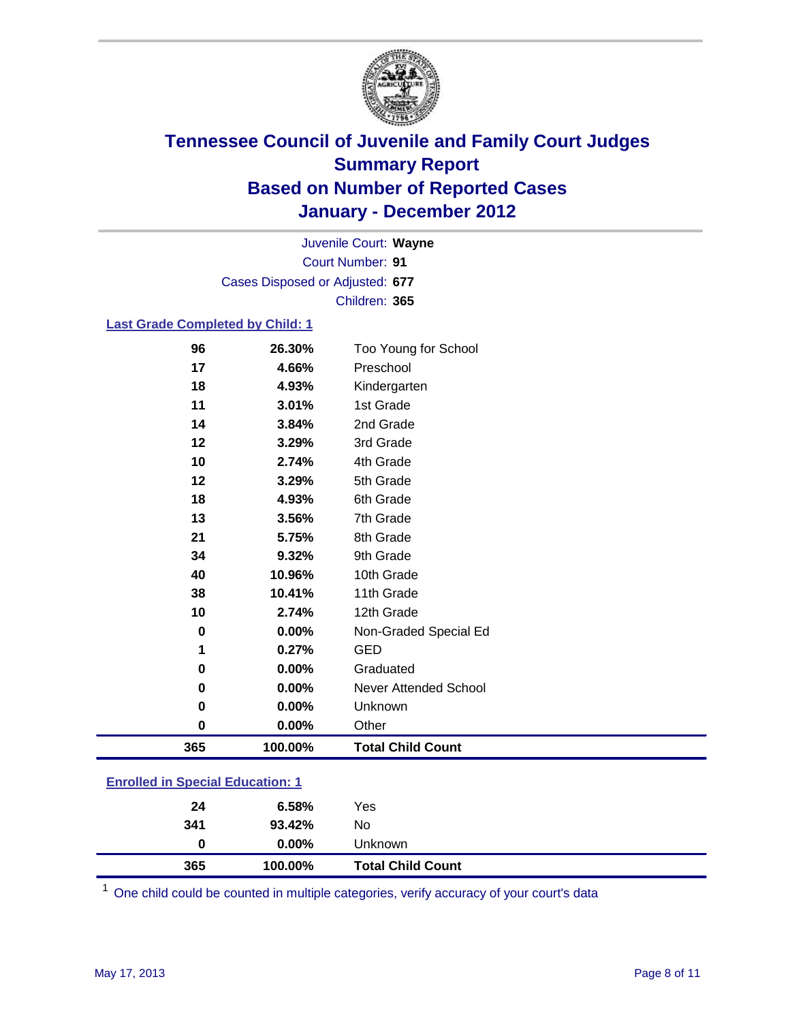

Court Number: **91** Juvenile Court: **Wayne** Cases Disposed or Adjusted: **677** Children: **365**

### **Last Grade Completed by Child: 1**

| Preschool<br>Kindergarten<br>1st Grade<br>2nd Grade<br>3rd Grade<br>4th Grade<br>5th Grade<br>6th Grade<br>7th Grade<br>8th Grade<br>9th Grade<br>10th Grade<br>11th Grade |
|----------------------------------------------------------------------------------------------------------------------------------------------------------------------------|
|                                                                                                                                                                            |
|                                                                                                                                                                            |
|                                                                                                                                                                            |
|                                                                                                                                                                            |
|                                                                                                                                                                            |
|                                                                                                                                                                            |
|                                                                                                                                                                            |
|                                                                                                                                                                            |
|                                                                                                                                                                            |
|                                                                                                                                                                            |
|                                                                                                                                                                            |
|                                                                                                                                                                            |
|                                                                                                                                                                            |
| 12th Grade                                                                                                                                                                 |
| Non-Graded Special Ed                                                                                                                                                      |
|                                                                                                                                                                            |
| Graduated                                                                                                                                                                  |
| <b>Never Attended School</b>                                                                                                                                               |
| Unknown                                                                                                                                                                    |
|                                                                                                                                                                            |
| <b>Total Child Count</b>                                                                                                                                                   |
| Other                                                                                                                                                                      |

| 365                                     | 100.00%  | <b>Total Child Count</b> |  |
|-----------------------------------------|----------|--------------------------|--|
| 0                                       | $0.00\%$ | Unknown                  |  |
| 341                                     | 93.42%   | No.                      |  |
| 24                                      | 6.58%    | Yes                      |  |
| <b>Enrolled in Special Education: 1</b> |          |                          |  |

One child could be counted in multiple categories, verify accuracy of your court's data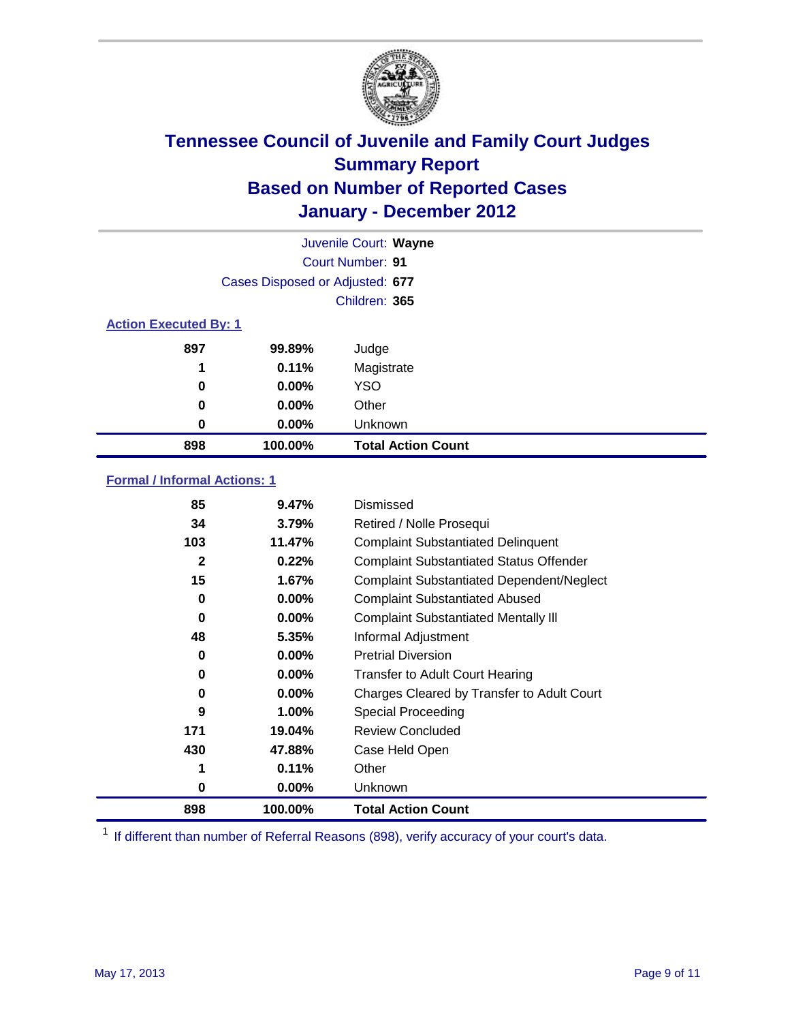

|                              | Juvenile Court: Wayne           |                           |  |  |  |
|------------------------------|---------------------------------|---------------------------|--|--|--|
|                              | <b>Court Number: 91</b>         |                           |  |  |  |
|                              | Cases Disposed or Adjusted: 677 |                           |  |  |  |
|                              |                                 | Children: 365             |  |  |  |
| <b>Action Executed By: 1</b> |                                 |                           |  |  |  |
| 897                          | 99.89%                          | Judge                     |  |  |  |
| 1                            | 0.11%                           | Magistrate                |  |  |  |
| 0                            | $0.00\%$                        | <b>YSO</b>                |  |  |  |
| 0                            | $0.00\%$                        | Other                     |  |  |  |
| 0                            | $0.00\%$                        | Unknown                   |  |  |  |
| 898                          | 100.00%                         | <b>Total Action Count</b> |  |  |  |

### **Formal / Informal Actions: 1**

| 85           | 9.47%    | Dismissed                                        |
|--------------|----------|--------------------------------------------------|
| 34           | 3.79%    | Retired / Nolle Prosequi                         |
| 103          | 11.47%   | <b>Complaint Substantiated Delinquent</b>        |
| $\mathbf{2}$ | 0.22%    | <b>Complaint Substantiated Status Offender</b>   |
| 15           | 1.67%    | <b>Complaint Substantiated Dependent/Neglect</b> |
| 0            | 0.00%    | <b>Complaint Substantiated Abused</b>            |
| $\bf{0}$     | $0.00\%$ | <b>Complaint Substantiated Mentally III</b>      |
| 48           | 5.35%    | Informal Adjustment                              |
| 0            | $0.00\%$ | <b>Pretrial Diversion</b>                        |
| 0            | $0.00\%$ | <b>Transfer to Adult Court Hearing</b>           |
| 0            | 0.00%    | Charges Cleared by Transfer to Adult Court       |
| 9            | 1.00%    | Special Proceeding                               |
| 171          | 19.04%   | <b>Review Concluded</b>                          |
| 430          | 47.88%   | Case Held Open                                   |
|              | 0.11%    | Other                                            |
| 0            | $0.00\%$ | <b>Unknown</b>                                   |
| 898          | 100.00%  | <b>Total Action Count</b>                        |

<sup>1</sup> If different than number of Referral Reasons (898), verify accuracy of your court's data.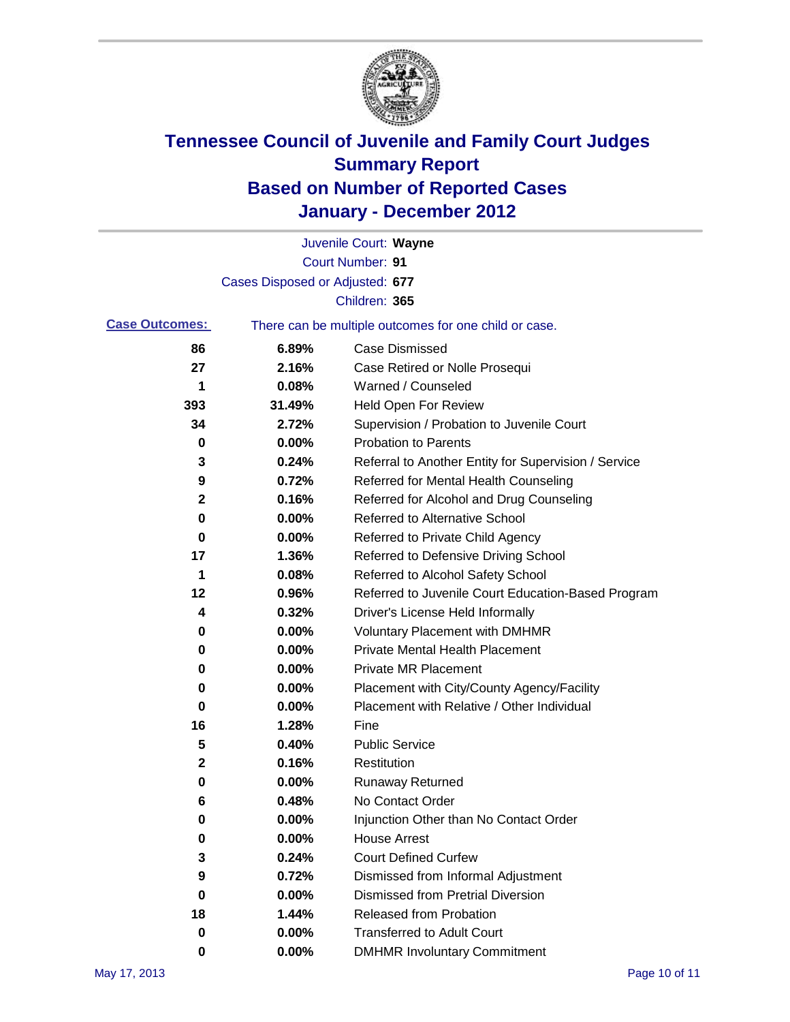

|                       |                                 | Juvenile Court: Wayne                                 |
|-----------------------|---------------------------------|-------------------------------------------------------|
|                       |                                 | Court Number: 91                                      |
|                       | Cases Disposed or Adjusted: 677 |                                                       |
|                       |                                 | Children: 365                                         |
| <b>Case Outcomes:</b> |                                 | There can be multiple outcomes for one child or case. |
| 86                    | 6.89%                           | <b>Case Dismissed</b>                                 |
| 27                    | 2.16%                           | Case Retired or Nolle Prosequi                        |
| 1                     | 0.08%                           | Warned / Counseled                                    |
| 393                   | 31.49%                          | Held Open For Review                                  |
| 34                    | 2.72%                           | Supervision / Probation to Juvenile Court             |
| 0                     | 0.00%                           | <b>Probation to Parents</b>                           |
| 3                     | 0.24%                           | Referral to Another Entity for Supervision / Service  |
| 9                     | 0.72%                           | Referred for Mental Health Counseling                 |
| 2                     | 0.16%                           | Referred for Alcohol and Drug Counseling              |
| 0                     | 0.00%                           | <b>Referred to Alternative School</b>                 |
| 0                     | 0.00%                           | Referred to Private Child Agency                      |
| 17                    | 1.36%                           | Referred to Defensive Driving School                  |
| 1                     | 0.08%                           | Referred to Alcohol Safety School                     |
| 12                    | 0.96%                           | Referred to Juvenile Court Education-Based Program    |
| 4                     | 0.32%                           | Driver's License Held Informally                      |
| 0                     | 0.00%                           | <b>Voluntary Placement with DMHMR</b>                 |
| 0                     | 0.00%                           | <b>Private Mental Health Placement</b>                |
| 0                     | 0.00%                           | <b>Private MR Placement</b>                           |
| 0                     | 0.00%                           | Placement with City/County Agency/Facility            |
| 0                     | 0.00%                           | Placement with Relative / Other Individual            |
| 16                    | 1.28%                           | Fine                                                  |
| 5                     | 0.40%                           | <b>Public Service</b>                                 |
| 2                     | 0.16%                           | Restitution                                           |
| 0                     | 0.00%                           | <b>Runaway Returned</b>                               |
| 6                     | 0.48%                           | No Contact Order                                      |
| 0                     | 0.00%                           | Injunction Other than No Contact Order                |
| 0                     | 0.00%                           | <b>House Arrest</b>                                   |
| 3                     | 0.24%                           | <b>Court Defined Curfew</b>                           |
| 9                     | 0.72%                           | Dismissed from Informal Adjustment                    |
| 0                     | $0.00\%$                        | <b>Dismissed from Pretrial Diversion</b>              |
| 18                    | 1.44%                           | Released from Probation                               |
| 0                     | 0.00%                           | <b>Transferred to Adult Court</b>                     |
| 0                     | $0.00\%$                        | <b>DMHMR Involuntary Commitment</b>                   |